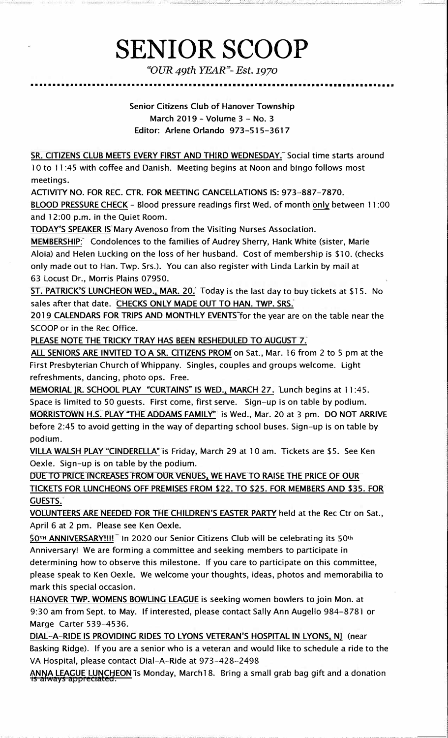## **SENIOR SCOOP**

*"OUR 49th YEAR"-Est.1970*  •••••••••••••••••••••••••••••••••••••••••••••••••••••••••••••••••••••••••••••••••••

> Senior Citizens Club of Hanover Township March 2019 - Volume 3 - No. 3 Editor: Arlene Orlando 973-515-3617

SR. CITIZENS CLUB MEETS EVERY FIRST AND THIRD WEDNESDAY.<sup>7</sup> Social time starts around 10 to 11 :45 with coffee and Danish. Meeting begins at Noon and bingo follows most meetings.

ACTIVITY NO. FOR REC. CTR. FOR MEETING CANCELLATIONS IS: 973-887-7870.

BLOOD PRESSURE CHECK - Blood pressure readings first Wed. of month only between 11:00 and 12:00 p.m. in the Quiet Room.

TODAY'S SPEAKER IS Mary Avenoso from the Visiting Nurses Association.

MEMBERSHIP: Condolences to the families of Audrey Sherry, Hank White (sister, Marie Aloia) and Helen Lucking on the loss of her husband. Cost of membership is \$10. (checks only made out to Han. Twp. Srs.). You can also register with Linda Larkin by mail at 63 Locust Dr., Morris Plains 07950.

ST. PATRICK'S LUNCHEON WED., MAR. 20. Today is the last day to buy tickets at \$15. No sales after that date. CHECKS ONLY MADE OUT TO HAN. TWP. SRS.

2019 CALENDARS FOR TRIPS AND MONTHLY EVENTS for the year are on the table near the SCOOP or in the Rec Office.

PLEASE NOTE THE TRICKY TRAY HAS BEEN RESHEDULED TO AUGUST 7.

ALL SENIORS ARE INVITED TO A SR. CITIZENS PROM on Sat., Mar. 16 from 2 to 5 pm at the First Presbyterian Church of Whippany. Singles, couples and groups welcome. Light refreshments, dancing, photo ops. Free.

MEMORIAL IR. SCHOOL PLAY "CURTAINS" IS WED., MARCH 27. Lunch begins at 11 :45. Space is limited to 50 guests. First come, first serve. Sign-up is on table by podium. MORRISTOWN H.S. PLAY "THE ADDAMS FAMILY" is Wed., Mar. 20 at 3 pm. DO NOT ARRIVE before 2:45 to avoid getting in the way of departing school buses. Sign-up is on table by podium.

VILLA WALSH PLAY "CINDERELLA" is Friday, March 29 at 10 am. Tickets are \$5. See Ken Oexle. Sign-up is on table by the podium.

DUE TO PRICE INCREASES FROM OUR VENUES. WE HAVE TO RAISE THE PRICE OF OUR TICKETS FOR LUNCHEONS OFF PREMISES FROM \$22. TO \$25. FOR MEMBERS AND \$35. FOR GUESTS.

VOLUNTEERS ARE NEEDED FOR THE CHILDREN"S EASTER PARTY held at the Rec Ctr on Sat., April 6 at 2 pm. Please see Ken Oexle.

50TH ANNIVERSARY!!!!<sup>7</sup> In 2020 our Senior Citizens Club will be celebrating its 50th Anniversary! We are forming a committee and seeking members to participate in determining how to observe this milestone. If you care to participate on this committee, please speak to Ken Oexle. We welcome your thoughts, ideas, photos and memorabilia to mark this special occasion.

**HANOVER TWP. WOMENS BOWLING** LEAGUE is seeking women bowlers to join Mon. at 9:30 am from Sept. to May. If interested, please contact Sally Ann Augello 984-8781 or Marge Carter 539-4536.

DIAL-A-RIDE IS PROVIDING RIDES TO LYONS VETERAN'S HOSPITAL IN LYONS, NI (near Basking Ridge). If you are a senior who is a veteran and would like to schedule a ride to the *VA* Hospital, please contact Dial-A-Ride at 973-428-2498

ANNA LEAGUE LUNCHEON is Monday, March 18. Bring a small grab bag gift and a donation is always appreciated.